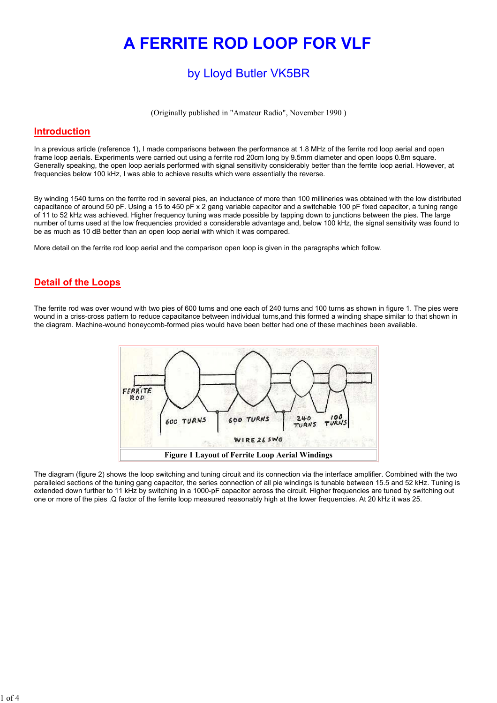# A FERRITE ROD LOOP FOR VLF

# by Lloyd Butler VK5BR

(Originally published in "Amateur Radio", November 1990 )

#### **Introduction**

In a previous article (reference 1), I made comparisons between the performance at 1.8 MHz of the ferrite rod loop aerial and open frame loop aerials. Experiments were carried out using a ferrite rod 20cm long by 9.5mm diameter and open loops 0.8m square. Generally speaking, the open loop aerials performed with signal sensitivity considerably better than the ferrite loop aerial. However, at frequencies below 100 kHz, I was able to achieve results which were essentially the reverse.

By winding 1540 turns on the ferrite rod in several pies, an inductance of more than 100 millineries was obtained with the low distributed capacitance of around 50 pF. Using a 15 to 450 pF x 2 gang variable capacitor and a switchable 100 pF fixed capacitor, a tuning range of 11 to 52 kHz was achieved. Higher frequency tuning was made possible by tapping down to junctions between the pies. The large number of turns used at the low frequencies provided a considerable advantage and, below 100 kHz, the signal sensitivity was found to be as much as 10 dB better than an open loop aerial with which it was compared.

More detail on the ferrite rod loop aerial and the comparison open loop is given in the paragraphs which follow.

### Detail of the Loops

The ferrite rod was over wound with two pies of 600 turns and one each of 240 turns and 100 turns as shown in figure 1. The pies were wound in a criss-cross pattern to reduce capacitance between individual turns,and this formed a winding shape similar to that shown in the diagram. Machine-wound honeycomb-formed pies would have been better had one of these machines been available.



The diagram (figure 2) shows the loop switching and tuning circuit and its connection via the interface amplifier. Combined with the two paralleled sections of the tuning gang capacitor, the series connection of all pie windings is tunable between 15.5 and 52 kHz. Tuning is extended down further to 11 kHz by switching in a 1000-pF capacitor across the circuit. Higher frequencies are tuned by switching out one or more of the pies .Q factor of the ferrite loop measured reasonably high at the lower frequencies. At 20 kHz it was 25.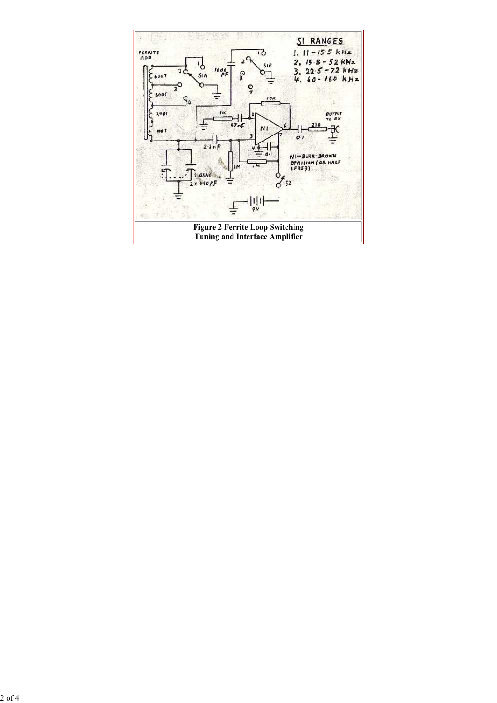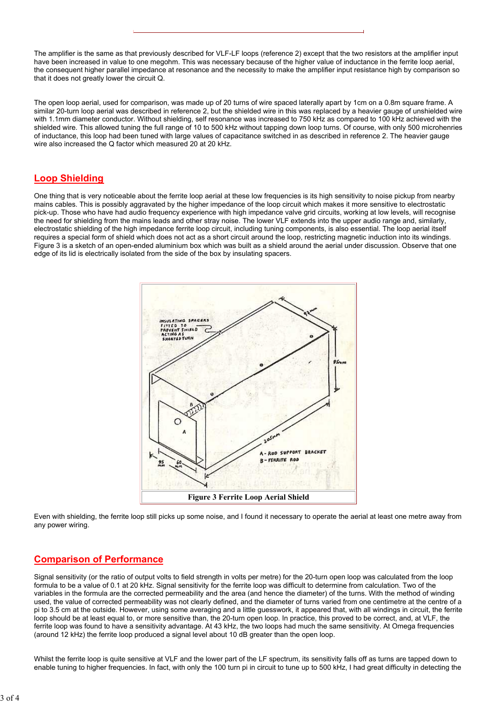The amplifier is the same as that previously described for VLF-LF loops (reference 2) except that the two resistors at the amplifier input have been increased in value to one megohm. This was necessary because of the higher value of inductance in the ferrite loop aerial, the consequent higher parallel impedance at resonance and the necessity to make the amplifier input resistance high by comparison so that it does not greatly lower the circuit Q.

The open loop aerial, used for comparison, was made up of 20 turns of wire spaced laterally apart by 1cm on a 0.8m square frame. A similar 20-turn loop aerial was described in reference 2, but the shielded wire in this was replaced by a heavier gauge of unshielded wire with 1.1mm diameter conductor. Without shielding, self resonance was increased to 750 kHz as compared to 100 kHz achieved with the shielded wire. This allowed tuning the full range of 10 to 500 kHz without tapping down loop turns. Of course, with only 500 microhenries of inductance, this loop had been tuned with large values of capacitance switched in as described in reference 2. The heavier gauge wire also increased the Q factor which measured 20 at 20 kHz.

#### Loop Shielding

One thing that is very noticeable about the ferrite loop aerial at these low frequencies is its high sensitivity to noise pickup from nearby mains cables. This is possibly aggravated by the higher impedance of the loop circuit which makes it more sensitive to electrostatic pick-up. Those who have had audio frequency experience with high impedance valve grid circuits, working at low levels, will recognise the need for shielding from the mains leads and other stray noise. The lower VLF extends into the upper audio range and, similarly, electrostatic shielding of the high impedance ferrite loop circuit, including tuning components, is also essential. The loop aerial itself requires a special form of shield which does not act as a short circuit around the loop, restricting magnetic induction into its windings. Figure 3 is a sketch of an open-ended aluminium box which was built as a shield around the aerial under discussion. Observe that one edge of its lid is electrically isolated from the side of the box by insulating spacers.



Even with shielding, the ferrite loop still picks up some noise, and I found it necessary to operate the aerial at least one metre away from any power wiring.

## Comparison of Performance

Signal sensitivity (or the ratio of output volts to field strength in volts per metre) for the 20-turn open loop was calculated from the loop formula to be a value of 0.1 at 20 kHz. Signal sensitivity for the ferrite loop was difficult to determine from calculation. Two of the variables in the formula are the corrected permeability and the area (and hence the diameter) of the turns. With the method of winding used, the value of corrected permeability was not clearly defined, and the diameter of turns varied from one centimetre at the centre of a pi to 3.5 cm at the outside. However, using some averaging and a little guesswork, it appeared that, with all windings in circuit, the ferrite loop should be at least equal to, or more sensitive than, the 20-turn open loop. In practice, this proved to be correct, and, at VLF, the ferrite loop was found to have a sensitivity advantage. At 43 kHz, the two loops had much the same sensitivity. At Omega frequencies (around 12 kHz) the ferrite loop produced a signal level about 10 dB greater than the open loop.

Whilst the ferrite loop is quite sensitive at VLF and the lower part of the LF spectrum, its sensitivity falls off as turns are tapped down to enable tuning to higher frequencies. In fact, with only the 100 turn pi in circuit to tune up to 500 kHz, I had great difficulty in detecting the